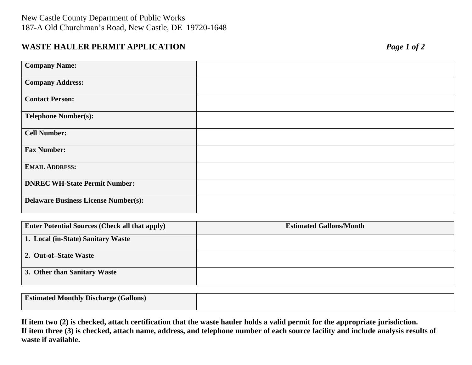## **WASTE HAULER PERMIT APPLICATION** *Page 1 of 2*

| <b>Company Name:</b>                        |  |
|---------------------------------------------|--|
| <b>Company Address:</b>                     |  |
| <b>Contact Person:</b>                      |  |
| <b>Telephone Number(s):</b>                 |  |
| <b>Cell Number:</b>                         |  |
| <b>Fax Number:</b>                          |  |
| <b>EMAIL ADDRESS:</b>                       |  |
| <b>DNREC WH-State Permit Number:</b>        |  |
| <b>Delaware Business License Number(s):</b> |  |

| <b>Enter Potential Sources (Check all that apply)</b> | <b>Estimated Gallons/Month</b> |
|-------------------------------------------------------|--------------------------------|
| 1. Local (in-State) Sanitary Waste                    |                                |
| 2. Out-of-State Waste                                 |                                |
| 3. Other than Sanitary Waste                          |                                |

| <b>Estimated Monthly Discharge (Gallons)</b> |  |
|----------------------------------------------|--|
|                                              |  |

**If item two (2) is checked, attach certification that the waste hauler holds a valid permit for the appropriate jurisdiction. If item three (3) is checked, attach name, address, and telephone number of each source facility and include analysis results of waste if available.**